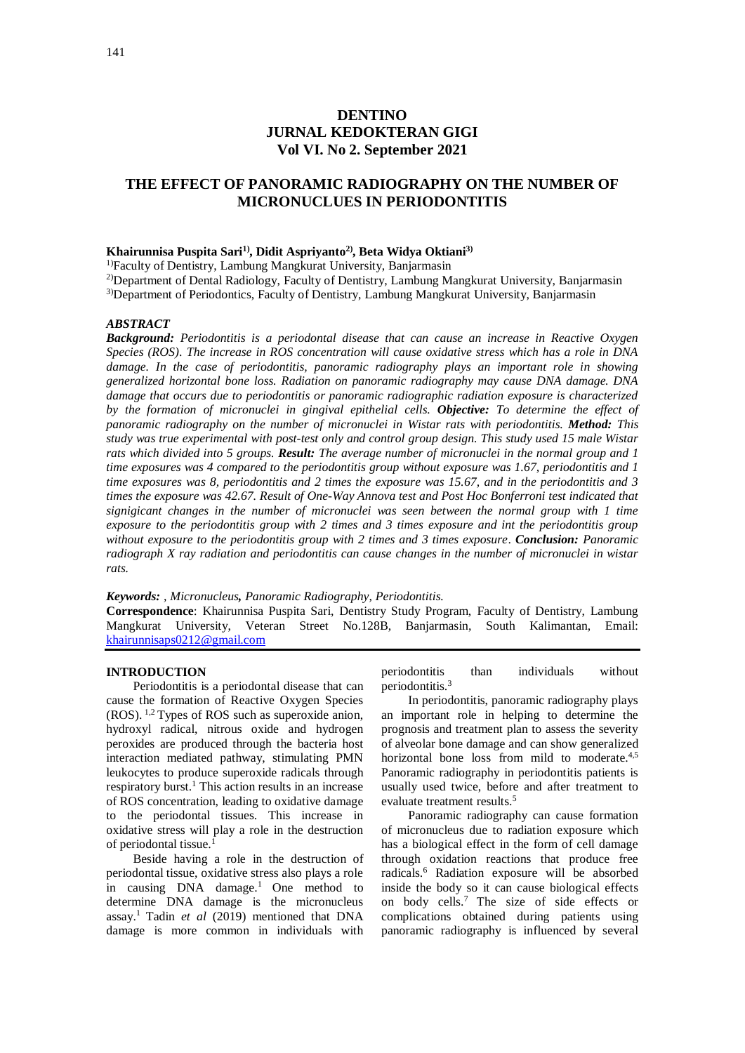# **DENTINO JURNAL KEDOKTERAN GIGI Vol VI. No 2. September 2021**

## **THE EFFECT OF PANORAMIC RADIOGRAPHY ON THE NUMBER OF MICRONUCLUES IN PERIODONTITIS**

#### **Khairunnisa Puspita Sari1) , Didit Aspriyanto2) , Beta Widya Oktiani3)**

<sup>1)</sup>Faculty of Dentistry, Lambung Mangkurat University, Banjarmasin

<sup>2)</sup>Department of Dental Radiology, Faculty of Dentistry, Lambung Mangkurat University, Banjarmasin <sup>3)</sup>Department of Periodontics, Faculty of Dentistry, Lambung Mangkurat University, Banjarmasin

*ABSTRACT*

*Background: Periodontitis is a periodontal disease that can cause an increase in Reactive Oxygen Species (ROS)*. *The increase in ROS concentration will cause oxidative stress which has a role in DNA damage. In the case of periodontitis, panoramic radiography plays an important role in showing generalized horizontal bone loss. Radiation on panoramic radiography may cause DNA damage. DNA damage that occurs due to periodontitis or panoramic radiographic radiation exposure is characterized by the formation of micronuclei in gingival epithelial cells. Objective: To determine the effect of panoramic radiography on the number of micronuclei in Wistar rats with periodontitis. Method: This study was true experimental with post-test only and control group design. This study used 15 male Wistar rats which divided into 5 groups. Result: The average number of micronuclei in the normal group and 1 time exposures was 4 compared to the periodontitis group without exposure was 1.67, periodontitis and 1 time exposures was 8, periodontitis and 2 times the exposure was 15.67, and in the periodontitis and 3 times the exposure was 42.67. Result of One-Way Annova test and Post Hoc Bonferroni test indicated that signigicant changes in the number of micronuclei was seen between the normal group with 1 time exposure to the periodontitis group with 2 times and 3 times exposure and int the periodontitis group without exposure to the periodontitis group with 2 times and 3 times exposure*. *Conclusion: Panoramic radiograph X ray radiation and periodontitis can cause changes in the number of micronuclei in wistar rats.*

*Keywords: , Micronucleus, Panoramic Radiography, Periodontitis.*

**Correspondence**: Khairunnisa Puspita Sari, Dentistry Study Program, Faculty of Dentistry, Lambung Mangkurat University, Veteran Street No.128B, Banjarmasin, South Kalimantan, Email: [khairunnisaps0212@gmail.com](mailto:khairunnisaps0212@gmail.com)

#### **INTRODUCTION**

Periodontitis is a periodontal disease that can cause the formation of Reactive Oxygen Species (ROS). 1,2 Types of ROS such as superoxide anion, hydroxyl radical, nitrous oxide and hydrogen peroxides are produced through the bacteria host interaction mediated pathway, stimulating PMN leukocytes to produce superoxide radicals through respiratory burst.<sup>1</sup> This action results in an increase of ROS concentration, leading to oxidative damage to the periodontal tissues. This increase in oxidative stress will play a role in the destruction of periodontal tissue.<sup>1</sup>

Beside having a role in the destruction of periodontal tissue, oxidative stress also plays a role in causing  $DNA$  damage.<sup>1</sup> One method to determine DNA damage is the micronucleus assay.<sup>1</sup> Tadin *et al* (2019) mentioned that DNA damage is more common in individuals with periodontitis than individuals without periodontitis.<sup>3</sup>

In periodontitis, panoramic radiography plays an important role in helping to determine the prognosis and treatment plan to assess the severity of alveolar bone damage and can show generalized horizontal bone loss from mild to moderate.<sup>4,5</sup> Panoramic radiography in periodontitis patients is usually used twice, before and after treatment to evaluate treatment results.<sup>5</sup>

Panoramic radiography can cause formation of micronucleus due to radiation exposure which has a biological effect in the form of cell damage through oxidation reactions that produce free radicals.<sup>6</sup> Radiation exposure will be absorbed inside the body so it can cause biological effects on body cells.<sup>7</sup> The size of side effects or complications obtained during patients using panoramic radiography is influenced by several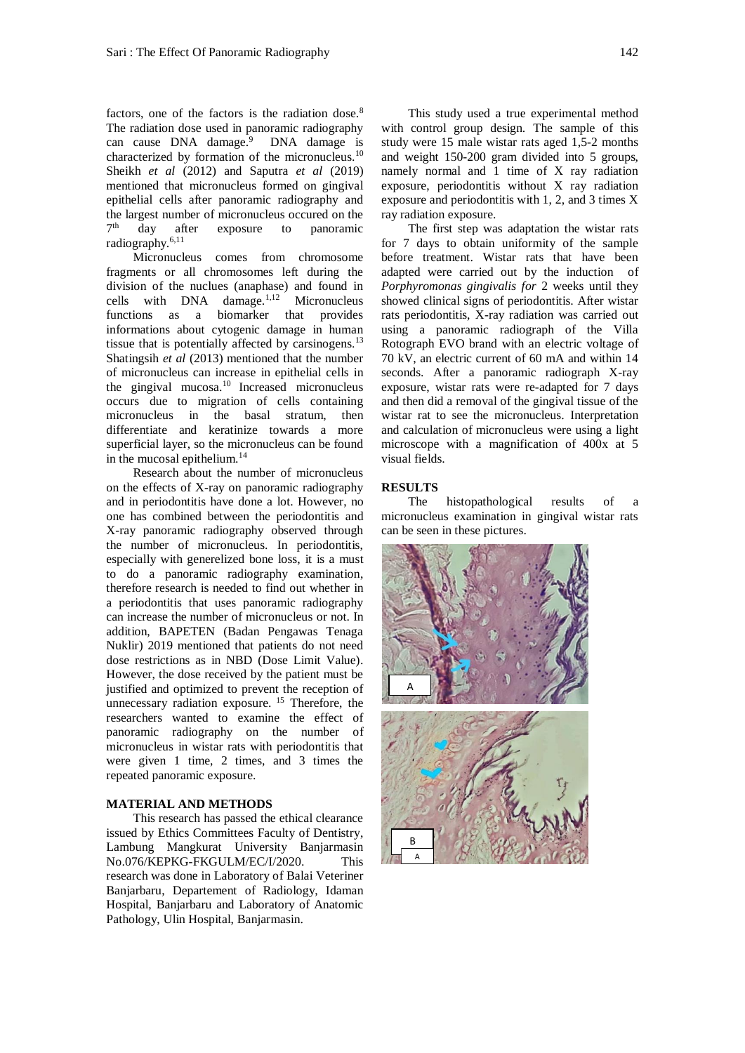factors, one of the factors is the radiation dose.<sup>8</sup> The radiation dose used in panoramic radiography can cause DNA damage.<sup>9</sup> DNA damage is characterized by formation of the micronucleus.<sup>10</sup> Sheikh *et al* (2012) and Saputra *et al* (2019) mentioned that micronucleus formed on gingival epithelial cells after panoramic radiography and the largest number of micronucleus occured on the  $7<sup>th</sup>$ day after exposure to panoramic radiography.6,11

Micronucleus comes from chromosome fragments or all chromosomes left during the division of the nuclues (anaphase) and found in cells with DNA damage.1,12 Micronucleus functions as a biomarker that provides informations about cytogenic damage in human tissue that is potentially affected by carsinogens.<sup>13</sup> Shatingsih *et al* (2013) mentioned that the number of micronucleus can increase in epithelial cells in the gingival mucosa.<sup>10</sup> Increased micronucleus occurs due to migration of cells containing micronucleus in the basal stratum, then differentiate and keratinize towards a more superficial layer, so the micronucleus can be found in the mucosal epithelium.<sup>14</sup>

Research about the number of micronucleus on the effects of X-ray on panoramic radiography and in periodontitis have done a lot. However, no one has combined between the periodontitis and X-ray panoramic radiography observed through the number of micronucleus. In periodontitis, especially with generelized bone loss, it is a must to do a panoramic radiography examination, therefore research is needed to find out whether in a periodontitis that uses panoramic radiography can increase the number of micronucleus or not. In addition, BAPETEN (Badan Pengawas Tenaga Nuklir) 2019 mentioned that patients do not need dose restrictions as in NBD (Dose Limit Value). However, the dose received by the patient must be justified and optimized to prevent the reception of unnecessary radiation exposure. <sup>15</sup> Therefore, the researchers wanted to examine the effect of panoramic radiography on the number of micronucleus in wistar rats with periodontitis that were given 1 time, 2 times, and 3 times the repeated panoramic exposure.

#### **MATERIAL AND METHODS**

This research has passed the ethical clearance issued by Ethics Committees Faculty of Dentistry, Lambung Mangkurat University Banjarmasin No.076/KEPKG-FKGULM/EC/I/2020. This research was done in Laboratory of Balai Veteriner Banjarbaru, Departement of Radiology, Idaman Hospital, Banjarbaru and Laboratory of Anatomic Pathology, Ulin Hospital, Banjarmasin.

This study used a true experimental method with control group design. The sample of this study were 15 male wistar rats aged 1,5-2 months and weight 150-200 gram divided into 5 groups, namely normal and 1 time of X ray radiation exposure, periodontitis without X ray radiation exposure and periodontitis with 1, 2, and 3 times X ray radiation exposure.

The first step was adaptation the wistar rats for 7 days to obtain uniformity of the sample before treatment. Wistar rats that have been adapted were carried out by the induction of *Porphyromonas gingivalis for* 2 weeks until they showed clinical signs of periodontitis. After wistar rats periodontitis, X-ray radiation was carried out using a panoramic radiograph of the Villa Rotograph EVO brand with an electric voltage of 70 kV, an electric current of 60 mA and within 14 seconds. After a panoramic radiograph X-ray exposure, wistar rats were re-adapted for 7 days and then did a removal of the gingival tissue of the wistar rat to see the micronucleus. Interpretation and calculation of micronucleus were using a light microscope with a magnification of 400x at 5 visual fields.

#### **RESULTS**

The histopathological results of a micronucleus examination in gingival wistar rats can be seen in these pictures.

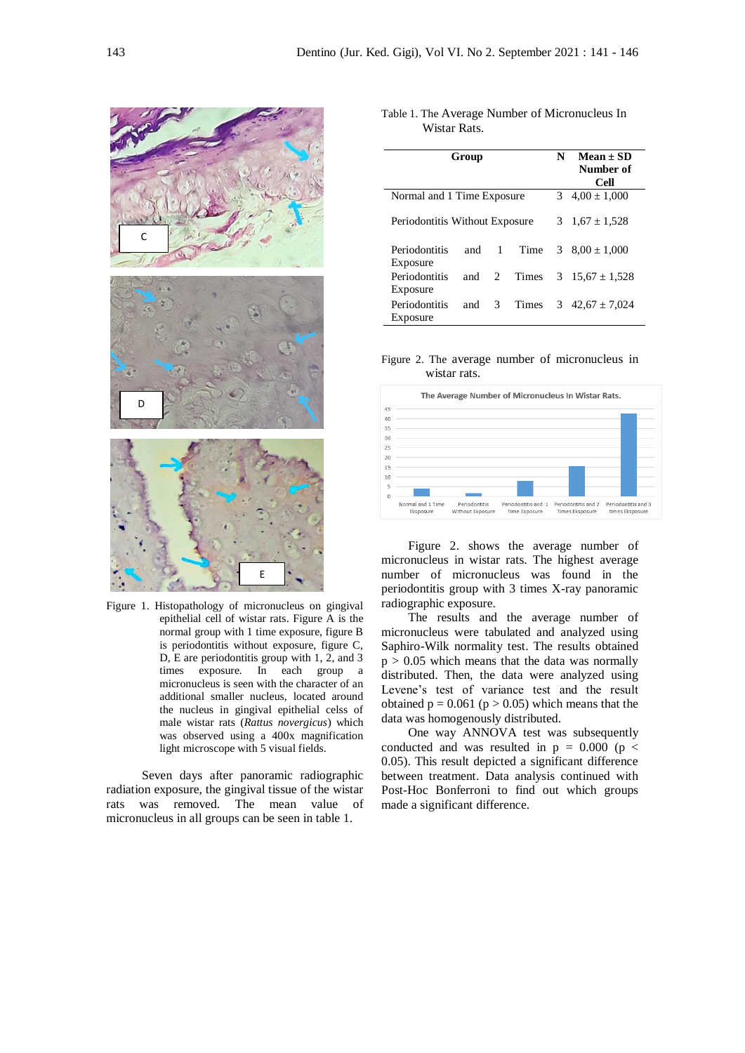

Figure 1. Histopathology of micronucleus on gingival epithelial cell of wistar rats. Figure A is the normal group with 1 time exposure, figure B is periodontitis without exposure, figure C, D, E are periodontitis group with 1, 2, and 3 times exposure. In each group a micronucleus is seen with the character of an additional smaller nucleus, located around the nucleus in gingival epithelial celss of male wistar rats (*Rattus novergicus*) which was observed using a 400x magnification light microscope with 5 visual fields.

Seven days after panoramic radiographic radiation exposure, the gingival tissue of the wistar rats was removed. The mean value of micronucleus in all groups can be seen in table 1.

| Table 1. The Average Number of Micronucleus In |  |
|------------------------------------------------|--|
| Wistar Rats.                                   |  |

| Group                          |     |               |            | N                  | $Mean + SD$<br>Number of<br>Cell |  |
|--------------------------------|-----|---------------|------------|--------------------|----------------------------------|--|
| Normal and 1 Time Exposure     |     |               |            | 3 $4,00 \pm 1,000$ |                                  |  |
| Periodontitis Without Exposure |     |               |            |                    | 3 $1,67 \pm 1,528$               |  |
| Periodontitis                  |     |               | and 1 Time |                    | 3 $8.00 \pm 1.000$               |  |
| Exposure                       |     |               |            |                    |                                  |  |
| Periodontitis                  | and | 2             | Times      |                    | 3 $15.67 \pm 1.528$              |  |
| Exposure                       |     |               |            |                    |                                  |  |
| Periodontitis                  | and | $\mathcal{E}$ | Times      |                    | 3 $42,67 \pm 7,024$              |  |
| Exposure                       |     |               |            |                    |                                  |  |

Figure 2. The average number of micronucleus in wistar rats.



Figure 2. shows the average number of micronucleus in wistar rats. The highest average number of micronucleus was found in the periodontitis group with 3 times X-ray panoramic radiographic exposure.

The results and the average number of micronucleus were tabulated and analyzed using Saphiro-Wilk normality test. The results obtained  $p > 0.05$  which means that the data was normally distributed. Then, the data were analyzed using Levene's test of variance test and the result obtained  $p = 0.061$  ( $p > 0.05$ ) which means that the data was homogenously distributed.

One way ANNOVA test was subsequently conducted and was resulted in  $p = 0.000$  ( $p <$ 0.05). This result depicted a significant difference between treatment. Data analysis continued with Post-Hoc Bonferroni to find out which groups made a significant difference.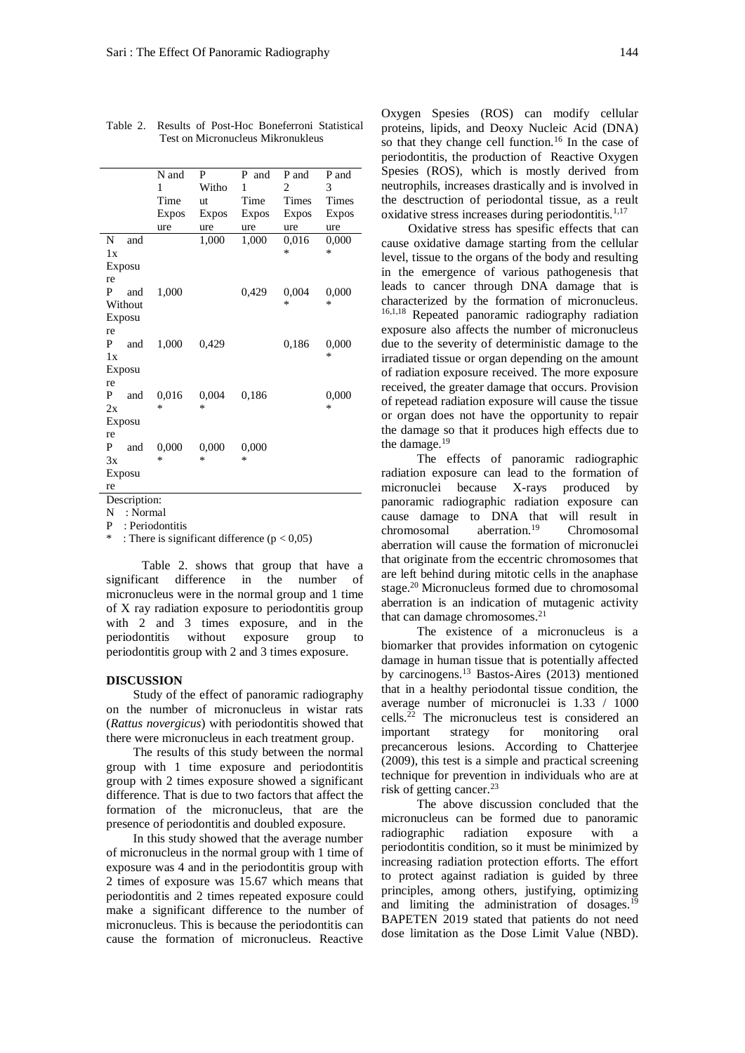|                    | N and        | P     | P and | P and        | P and        |
|--------------------|--------------|-------|-------|--------------|--------------|
|                    | 1            | Witho | 1     | 2            | 3            |
|                    | Time         | ut    | Time  | <b>Times</b> | Times        |
|                    | <b>Expos</b> | Expos | Expos | <b>Expos</b> | <b>Expos</b> |
|                    | ure          | ure   | ure   | ure          | ure          |
| N<br>and           |              | 1,000 | 1,000 | 0,016        | 0,000        |
| 1x                 |              |       |       | ∗            | *            |
| Exposu             |              |       |       |              |              |
| re                 |              |       |       |              |              |
| and<br>P           | 1,000        |       | 0,429 | 0,004        | 0,000        |
| Without            |              |       |       | $\ast$       | $\ast$       |
| Exposu             |              |       |       |              |              |
| re                 |              |       |       |              |              |
| and<br>P           | 1,000        | 0,429 |       | 0,186        | 0,000        |
| 1x                 |              |       |       |              | *            |
| Exposu             |              |       |       |              |              |
| re                 |              |       |       |              |              |
| P<br>and           | 0,016        | 0,004 | 0,186 |              | 0,000        |
| 2x                 | *            | *     |       |              | *            |
| Exposu             |              |       |       |              |              |
| re                 |              |       |       |              |              |
| P<br>and           | 0,000        | 0,000 | 0,000 |              |              |
| 3x                 | *            | *     | ∗     |              |              |
| Exposu             |              |       |       |              |              |
| re                 |              |       |       |              |              |
| $\cdot$<br>$\cdot$ |              |       |       |              |              |

Table 2. Results of Post-Hoc Boneferroni Statistical Test on Micronucleus Mikronukleus

Description:

N : Normal

P : Periodontitis

: There is significant difference ( $p < 0.05$ )

Table 2. shows that group that have a significant difference in the number of micronucleus were in the normal group and 1 time of X ray radiation exposure to periodontitis group with 2 and 3 times exposure, and in the periodontitis without exposure group to periodontitis group with 2 and 3 times exposure.

#### **DISCUSSION**

Study of the effect of panoramic radiography on the number of micronucleus in wistar rats (*Rattus novergicus*) with periodontitis showed that there were micronucleus in each treatment group.

The results of this study between the normal group with 1 time exposure and periodontitis group with 2 times exposure showed a significant difference. That is due to two factors that affect the formation of the micronucleus, that are the presence of periodontitis and doubled exposure.

In this study showed that the average number of micronucleus in the normal group with 1 time of exposure was 4 and in the periodontitis group with 2 times of exposure was 15.67 which means that periodontitis and 2 times repeated exposure could make a significant difference to the number of micronucleus. This is because the periodontitis can cause the formation of micronucleus. Reactive

Oxygen Spesies (ROS) can modify cellular proteins, lipids, and Deoxy Nucleic Acid (DNA) so that they change cell function.<sup>16</sup> In the case of periodontitis, the production of Reactive Oxygen Spesies (ROS), which is mostly derived from neutrophils, increases drastically and is involved in the desctruction of periodontal tissue, as a reult oxidative stress increases during periodontitis. $1,17$ 

Oxidative stress has spesific effects that can cause oxidative damage starting from the cellular level, tissue to the organs of the body and resulting in the emergence of various pathogenesis that leads to cancer through DNA damage that is characterized by the formation of micronucleus. 16,1,18 Repeated panoramic radiography radiation exposure also affects the number of micronucleus due to the severity of deterministic damage to the irradiated tissue or organ depending on the amount of radiation exposure received. The more exposure received, the greater damage that occurs. Provision of repetead radiation exposure will cause the tissue or organ does not have the opportunity to repair the damage so that it produces high effects due to the damage.<sup>19</sup>

The effects of panoramic radiographic radiation exposure can lead to the formation of micronuclei because X-rays produced by panoramic radiographic radiation exposure can cause damage to DNA that will result in chromosomal aberration.<sup>19</sup> Chromosomal aberration will cause the formation of micronuclei that originate from the eccentric chromosomes that are left behind during mitotic cells in the anaphase stage.<sup>20</sup> Micronucleus formed due to chromosomal aberration is an indication of mutagenic activity that can damage chromosomes. 21

The existence of a micronucleus is a biomarker that provides information on cytogenic damage in human tissue that is potentially affected by carcinogens.<sup>13</sup> Bastos-Aires (2013) mentioned that in a healthy periodontal tissue condition, the average number of micronuclei is 1.33 / 1000 cells. $^{22}$  The micronucleus test is considered an important strategy for monitoring oral precancerous lesions. According to Chatterjee (2009), this test is a simple and practical screening technique for prevention in individuals who are at risk of getting cancer.<sup>23</sup>

The above discussion concluded that the micronucleus can be formed due to panoramic radiographic radiation exposure with a periodontitis condition, so it must be minimized by increasing radiation protection efforts. The effort to protect against radiation is guided by three principles, among others, justifying, optimizing and limiting the administration of dosages.<sup>19</sup> BAPETEN 2019 stated that patients do not need dose limitation as the Dose Limit Value (NBD).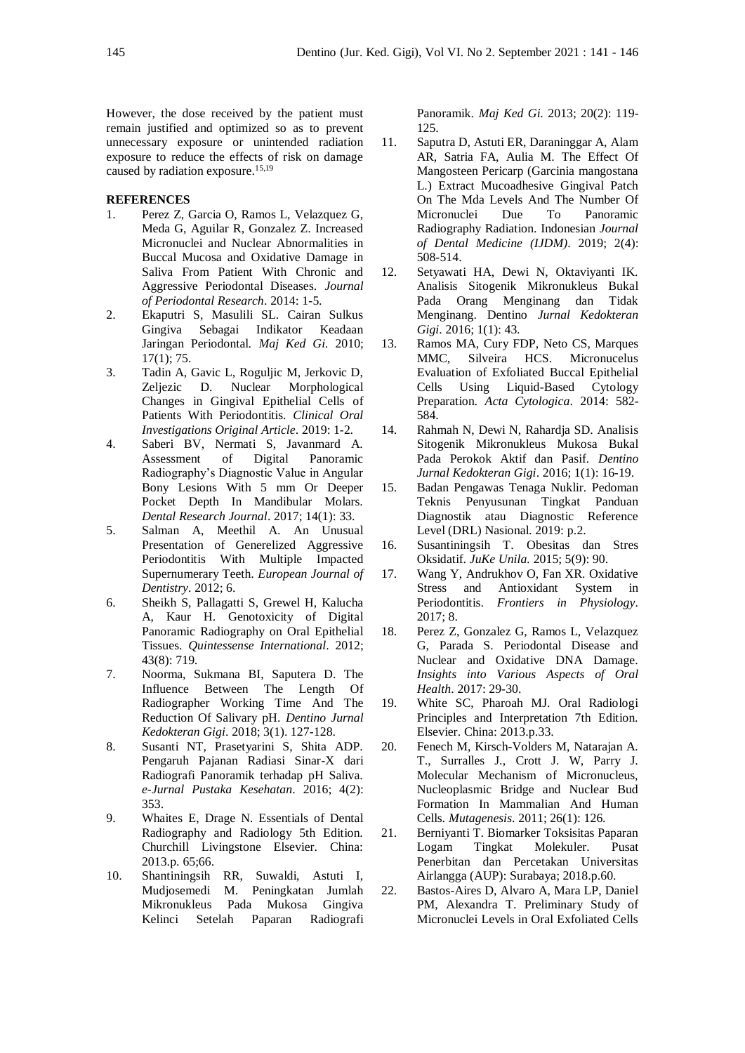However, the dose received by the patient must remain justified and optimized so as to prevent unnecessary exposure or unintended radiation exposure to reduce the effects of risk on damage caused by radiation exposure. 15,19

### **REFERENCES**

- 1. Perez Z, Garcia O, Ramos L, Velazquez G, Meda G, Aguilar R, Gonzalez Z. Increased Micronuclei and Nuclear Abnormalities in Buccal Mucosa and Oxidative Damage in Saliva From Patient With Chronic and Aggressive Periodontal Diseases. *Journal of Periodontal Research*. 2014: 1-5.
- 2. Ekaputri S, Masulili SL. Cairan Sulkus Gingiva Sebagai Indikator Keadaan Jaringan Periodontal. *Maj Ked Gi.* 2010; 17(1); 75.
- 3. Tadin A, Gavic L, Roguljic M, Jerkovic D, Zeljezic D. Nuclear Morphological Changes in Gingival Epithelial Cells of Patients With Periodontitis. *Clinical Oral Investigations Original Article*. 2019: 1-2.
- 4. Saberi BV, Nermati S, Javanmard A. Assessment of Digital Panoramic Radiography's Diagnostic Value in Angular Bony Lesions With 5 mm Or Deeper Pocket Depth In Mandibular Molars. *Dental Research Journal*. 2017; 14(1): 33.
- 5. Salman A, Meethil A. An Unusual Presentation of Generelized Aggressive Periodontitis With Multiple Impacted Supernumerary Teeth. *European Journal of Dentistry*. 2012; 6.
- 6. Sheikh S, Pallagatti S, Grewel H, Kalucha A, Kaur H. Genotoxicity of Digital Panoramic Radiography on Oral Epithelial Tissues. *Quintessense International*. 2012; 43(8): 719.
- 7. Noorma, Sukmana BI, Saputera D. The Influence Between The Length Of Radiographer Working Time And The Reduction Of Salivary pH. *Dentino Jurnal Kedokteran Gigi*. 2018; 3(1). 127-128.
- 8. Susanti NT, Prasetyarini S, Shita ADP. Pengaruh Pajanan Radiasi Sinar-X dari Radiografi Panoramik terhadap pH Saliva. *e-Jurnal Pustaka Kesehatan*. 2016; 4(2): 353.
- 9. Whaites E, Drage N. Essentials of Dental Radiography and Radiology 5th Edition. Churchill Livingstone Elsevier. China: 2013.p. 65;66.
- 10. Shantiningsih RR, Suwaldi, Astuti I, Mudjosemedi M. Peningkatan Jumlah Mikronukleus Pada Mukosa Gingiva Kelinci Setelah Paparan Radiografi

Panoramik. *Maj Ked Gi*. 2013; 20(2): 119- 125.

- 11. Saputra D, Astuti ER, Daraninggar A, Alam AR, Satria FA, Aulia M. The Effect Of Mangosteen Pericarp (Garcinia mangostana L.) Extract Mucoadhesive Gingival Patch On The Mda Levels And The Number Of Micronuclei Due To Panoramic Radiography Radiation. Indonesian *Journal of Dental Medicine (IJDM)*. 2019; 2(4): 508-514.
- 12. Setyawati HA, Dewi N, Oktaviyanti IK. Analisis Sitogenik Mikronukleus Bukal Pada Orang Menginang dan Tidak Menginang. Dentino *Jurnal Kedokteran Gigi*. 2016; 1(1): 43.
- 13. Ramos MA, Cury FDP, Neto CS, Marques MMC, Silveira HCS. Micronucelus Evaluation of Exfoliated Buccal Epithelial Cells Using Liquid-Based Cytology Preparation. *Acta Cytologica*. 2014: 582- 584.
- 14. Rahmah N, Dewi N, Rahardja SD. Analisis Sitogenik Mikronukleus Mukosa Bukal Pada Perokok Aktif dan Pasif. *Dentino Jurnal Kedokteran Gigi*. 2016; 1(1): 16-19.
- 15. Badan Pengawas Tenaga Nuklir. Pedoman Teknis Penyusunan Tingkat Panduan Diagnostik atau Diagnostic Reference Level (DRL) Nasional. 2019: p.2.
- 16. Susantiningsih T. Obesitas dan Stres Oksidatif. *JuKe Unila.* 2015; 5(9): 90.
- 17. Wang Y, Andrukhov O, Fan XR. Oxidative Stress and Antioxidant System in Periodontitis. *Frontiers in Physiology*. 2017; 8.
- 18. Perez Z, Gonzalez G, Ramos L, Velazquez G, Parada S. Periodontal Disease and Nuclear and Oxidative DNA Damage. *Insights into Various Aspects of Oral Health*. 2017: 29-30.
- 19. White SC, Pharoah MJ. Oral Radiologi Principles and Interpretation 7th Edition. Elsevier. China: 2013.p.33.
- 20. Fenech M, Kirsch-Volders M, Natarajan A. T., Surralles J., Crott J. W, Parry J. Molecular Mechanism of Micronucleus, Nucleoplasmic Bridge and Nuclear Bud Formation In Mammalian And Human Cells. *Mutagenesis*. 2011; 26(1): 126.
- 21. Berniyanti T. Biomarker Toksisitas Paparan Logam Tingkat Molekuler. Pusat Penerbitan dan Percetakan Universitas Airlangga (AUP): Surabaya; 2018.p.60.
- 22. Bastos-Aires D, Alvaro A, Mara LP, Daniel PM, Alexandra T. Preliminary Study of Micronuclei Levels in Oral Exfoliated Cells